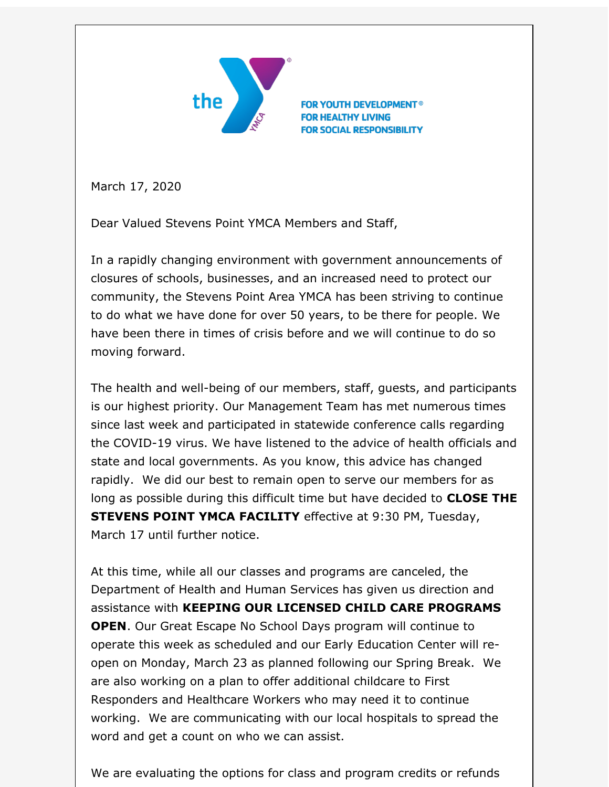

**FOR YOUTH DEVELOPMENT<sup>®</sup> FOR HEALTHY LIVING FOR SOCIAL RESPONSIBILITY** 

March 17, 2020

Dear Valued Stevens Point YMCA Members and Staff,

In a rapidly changing environment with government announcements of closures of schools, businesses, and an increased need to protect our community, the Stevens Point Area YMCA has been striving to continue to do what we have done for over 50 years, to be there for people. We have been there in times of crisis before and we will continue to do so moving forward.

The health and well-being of our members, staff, guests, and participants is our highest priority. Our Management Team has met numerous times since last week and participated in statewide conference calls regarding the COVID-19 virus. We have listened to the advice of health officials and state and local governments. As you know, this advice has changed rapidly. We did our best to remain open to serve our members for as long as possible during this difficult time but have decided to **CLOSE THE STEVENS POINT YMCA FACILITY** effective at 9:30 PM, Tuesday, March 17 until further notice.

At this time, while all our classes and programs are canceled, the Department of Health and Human Services has given us direction and assistance with **KEEPING OUR LICENSED CHILD CARE PROGRAMS OPEN**. Our Great Escape No School Days program will continue to operate this week as scheduled and our Early Education Center will reopen on Monday, March 23 as planned following our Spring Break. We are also working on a plan to offer additional childcare to First Responders and Healthcare Workers who may need it to continue working. We are communicating with our local hospitals to spread the word and get a count on who we can assist.

We are evaluating the options for class and program credits or refunds